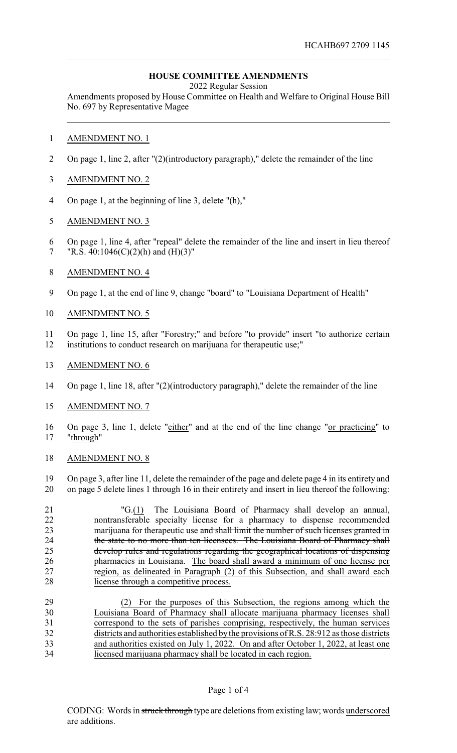## **HOUSE COMMITTEE AMENDMENTS**

2022 Regular Session

Amendments proposed by House Committee on Health and Welfare to Original House Bill No. 697 by Representative Magee

- AMENDMENT NO. 1
- On page 1, line 2, after "(2)(introductory paragraph)," delete the remainder of the line
- AMENDMENT NO. 2
- On page 1, at the beginning of line 3, delete "(h),"
- AMENDMENT NO. 3
- On page 1, line 4, after "repeal" delete the remainder of the line and insert in lieu thereof 7 "R.S.  $40:1046(C)(2)(h)$  and  $(H)(3)$ "
- AMENDMENT NO. 4
- On page 1, at the end of line 9, change "board" to "Louisiana Department of Health"
- AMENDMENT NO. 5
- On page 1, line 15, after "Forestry;" and before "to provide" insert "to authorize certain institutions to conduct research on marijuana for therapeutic use;"
- AMENDMENT NO. 6
- On page 1, line 18, after "(2)(introductory paragraph)," delete the remainder of the line
- AMENDMENT NO. 7
- On page 3, line 1, delete "either" and at the end of the line change "or practicing" to "through"
- AMENDMENT NO. 8

 On page 3, after line 11, delete the remainder of the page and delete page 4 in its entirety and on page 5 delete lines 1 through 16 in their entirety and insert in lieu thereof the following:

 "G.(1) The Louisiana Board of Pharmacy shall develop an annual, nontransferable specialty license for a pharmacy to dispense recommended 23 marijuana for therapeutic use and shall limit the number of such licenses granted in 24 the state to no more than ten licensees. The Louisiana Board of Pharmacy shall develop rules and regulations regarding the geographical locations of dispensing **pharmacies in Louisiana**. The board shall award a minimum of one license per region, as delineated in Paragraph (2) of this Subsection, and shall award each license through a competitive process.

 (2) For the purposes of this Subsection, the regions among which the Louisiana Board of Pharmacy shall allocate marijuana pharmacy licenses shall correspond to the sets of parishes comprising, respectively, the human services districts and authorities established bythe provisions of R.S. 28:912 as those districts 33 and authorities existed on July 1, 2022. On and after October 1, 2022, at least one licensed marijuana pharmacy shall be located in each region.

## Page 1 of 4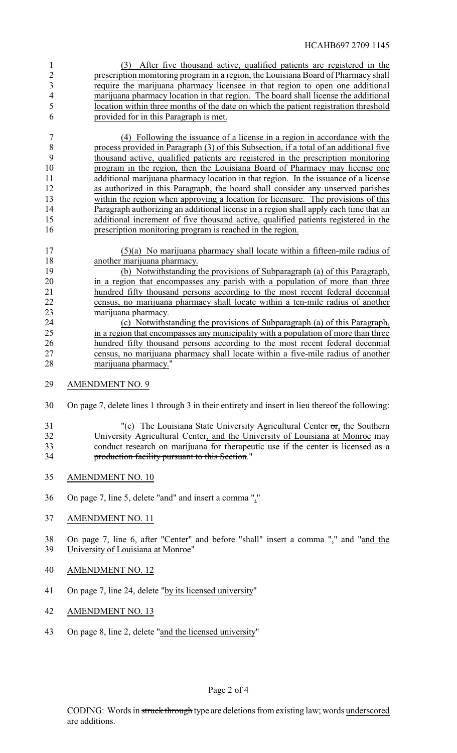(3) After five thousand active, qualified patients are registered in the prescription monitoring program in a region, the Louisiana Board of Pharmacy shall require the marijuana pharmacy licensee in that region to open one additional marijuana pharmacy location in that region. The board shall license the additional location within three months of the date on which the patient registration threshold provided for in this Paragraph is met.

 (4) Following the issuance of a license in a region in accordance with the process provided in Paragraph (3) of this Subsection, if a total of an additional five thousand active, qualified patients are registered in the prescription monitoring program in the region, then the Louisiana Board of Pharmacy may license one additional marijuana pharmacy location in that region. In the issuance of a license as authorized in this Paragraph, the board shall consider any unserved parishes within the region when approving a location for licensure. The provisions of this Paragraph authorizing an additional license in a region shall apply each time that an additional increment of five thousand active, qualified patients registered in the prescription monitoring program is reached in the region.

- (5)(a) No marijuana pharmacy shall locate within a fifteen-mile radius of another marijuana pharmacy.
- (b) Notwithstanding the provisions of Subparagraph (a) of this Paragraph, in a region that encompasses any parish with a population of more than three hundred fifty thousand persons according to the most recent federal decennial 22 census, no marijuana pharmacy shall locate within a ten-mile radius of another 23 23 marijuana pharmacy.<br>24 (c) Notwithst
- (c) Notwithstanding the provisions of Subparagraph (a) of this Paragraph, in a region that encompasses any municipality with a population of more than three hundred fifty thousand persons according to the most recent federal decennial census, no marijuana pharmacy shall locate within a five-mile radius of another marijuana pharmacy."
- AMENDMENT NO. 9
- On page 7, delete lines 1 through 3 in their entirety and insert in lieu thereof the following:
- "(c) The Louisiana State University Agricultural Center or, the Southern University Agricultural Center, and the University of Louisiana at Monroe may 33 conduct research on marijuana for therapeutic use if the center is licensed as a production facility pursuant to this Section."
- AMENDMENT NO. 10
- On page 7, line 5, delete "and" and insert a comma ","
- AMENDMENT NO. 11

 On page 7, line 6, after "Center" and before "shall" insert a comma "," and "and the University of Louisiana at Monroe"

- AMENDMENT NO. 12
- On page 7, line 24, delete "by its licensed university"
- AMENDMENT NO. 13
- On page 8, line 2, delete "and the licensed university"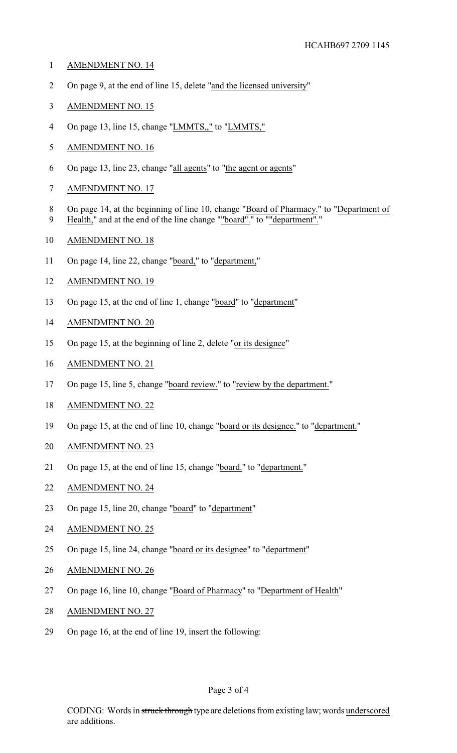- AMENDMENT NO. 14
- On page 9, at the end of line 15, delete "and the licensed university"
- AMENDMENT NO. 15
- 4 On page 13, line 15, change "LMMTS," to "LMMTS,"
- AMENDMENT NO. 16
- On page 13, line 23, change "all agents" to "the agent or agents"
- AMENDMENT NO. 17
- On page 14, at the beginning of line 10, change "Board of Pharmacy." to "Department of
- Health," and at the end of the line change ""board"." to ""department"."
- AMENDMENT NO. 18
- 11 On page 14, line 22, change "board," to "department,"
- AMENDMENT NO. 19
- On page 15, at the end of line 1, change "board" to "department"
- AMENDMENT NO. 20
- On page 15, at the beginning of line 2, delete "or its designee"
- AMENDMENT NO. 21
- 17 On page 15, line 5, change "board review." to "review by the department."
- AMENDMENT NO. 22
- On page 15, at the end of line 10, change "board or its designee." to "department."
- AMENDMENT NO. 23
- On page 15, at the end of line 15, change "board." to "department."
- AMENDMENT NO. 24
- On page 15, line 20, change "board" to "department"
- AMENDMENT NO. 25
- On page 15, line 24, change "board or its designee" to "department"
- AMENDMENT NO. 26
- 27 On page 16, line 10, change "Board of Pharmacy" to "Department of Health"
- AMENDMENT NO. 27
- On page 16, at the end of line 19, insert the following: